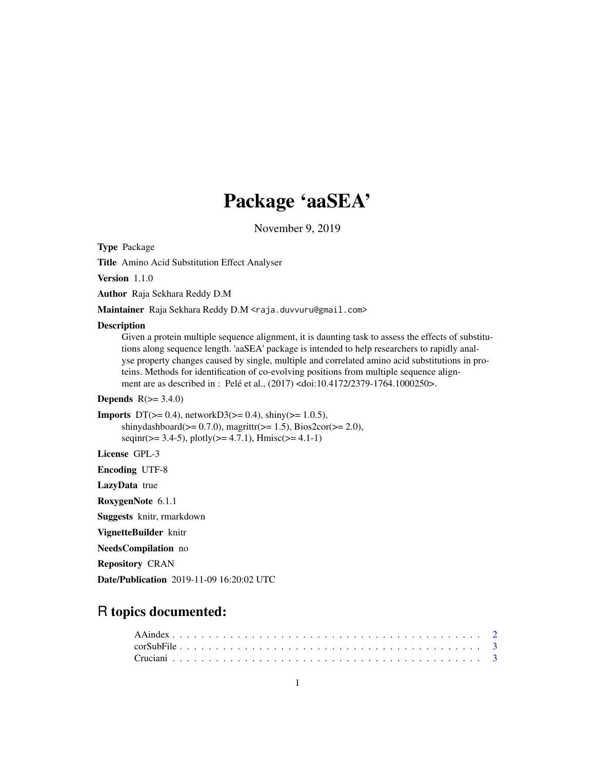# Package 'aaSEA'

November 9, 2019

Type Package

Title Amino Acid Substitution Effect Analyser

Version 1.1.0

Author Raja Sekhara Reddy D.M

Maintainer Raja Sekhara Reddy D.M <raja.duvvuru@gmail.com>

#### Description

Given a protein multiple sequence alignment, it is daunting task to assess the effects of substitutions along sequence length. 'aaSEA' package is intended to help researchers to rapidly analyse property changes caused by single, multiple and correlated amino acid substitutions in proteins. Methods for identification of co-evolving positions from multiple sequence alignment are as described in : Pelé et al., (2017) <doi:10.4172/2379-1764.1000250>.

**Depends**  $R(>= 3.4.0)$ 

```
Imports DT(>= 0.4), networkD3(>= 0.4), shiny(>= 1.0.5),
      shinydashboard(>= 0.7.0), magrittr(>= 1.5), Bios2cor(>= 2.0),
      seqinr(> = 3.4-5), plotly(>= 4.7.1), Hmisc(>= 4.1-1)
```
License GPL-3

Encoding UTF-8

LazyData true

RoxygenNote 6.1.1

Suggests knitr, rmarkdown

VignetteBuilder knitr

NeedsCompilation no

Repository CRAN

Date/Publication 2019-11-09 16:20:02 UTC

# R topics documented: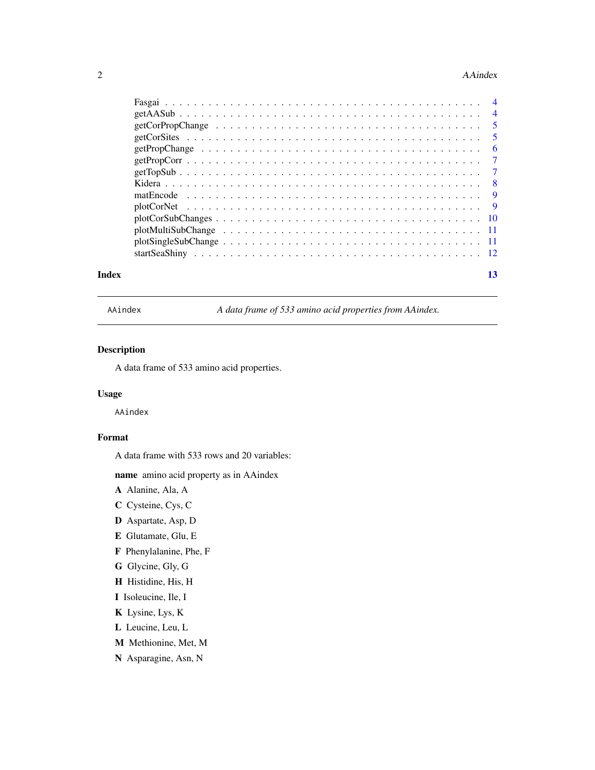#### <span id="page-1-0"></span>2 AAindex

|       | $plotCorSubChanges \ldots \ldots \ldots \ldots \ldots \ldots \ldots \ldots \ldots \ldots \ldots \ldots \ldots 10$                 |    |
|-------|-----------------------------------------------------------------------------------------------------------------------------------|----|
|       |                                                                                                                                   |    |
|       | $plotSingleSubChange \dots \dots \dots \dots \dots \dots \dots \dots \dots \dots \dots \dots \dots \dots \dots \dots \dots \dots$ |    |
|       |                                                                                                                                   |    |
| Index |                                                                                                                                   | 13 |

AAindex *A data frame of 533 amino acid properties from AAindex.*

# Description

A data frame of 533 amino acid properties.

# Usage

AAindex

# Format

A data frame with 533 rows and 20 variables:

name amino acid property as in AAindex

A Alanine, Ala, A

- C Cysteine, Cys, C
- D Aspartate, Asp, D
- E Glutamate, Glu, E
- F Phenylalanine, Phe, F
- G Glycine, Gly, G
- H Histidine, His, H
- I Isoleucine, Ile, I
- K Lysine, Lys, K
- L Leucine, Leu, L
- M Methionine, Met, M
- N Asparagine, Asn, N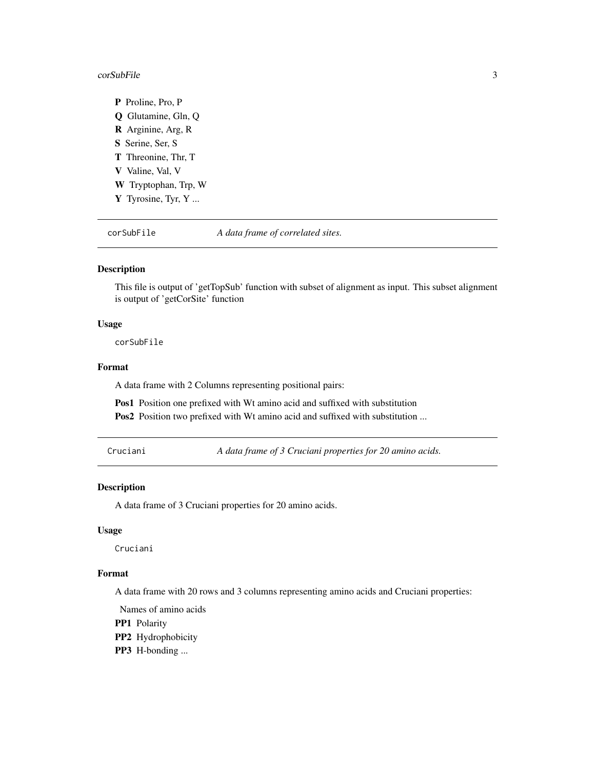#### <span id="page-2-0"></span> $corSubFile$   $3$

P Proline, Pro, P Q Glutamine, Gln, Q R Arginine, Arg, R S Serine, Ser, S T Threonine, Thr, T V Valine, Val, V W Tryptophan, Trp, W Y Tyrosine, Tyr, Y ...

corSubFile *A data frame of correlated sites.*

#### Description

This file is output of 'getTopSub' function with subset of alignment as input. This subset alignment is output of 'getCorSite' function

### Usage

corSubFile

### Format

A data frame with 2 Columns representing positional pairs:

Pos1 Position one prefixed with Wt amino acid and suffixed with substitution

Pos2 Position two prefixed with Wt amino acid and suffixed with substitution ...

Cruciani *A data frame of 3 Cruciani properties for 20 amino acids.*

# Description

A data frame of 3 Cruciani properties for 20 amino acids.

#### Usage

Cruciani

# Format

A data frame with 20 rows and 3 columns representing amino acids and Cruciani properties:

Names of amino acids

PP1 Polarity

PP2 Hydrophobicity

PP3 H-bonding ...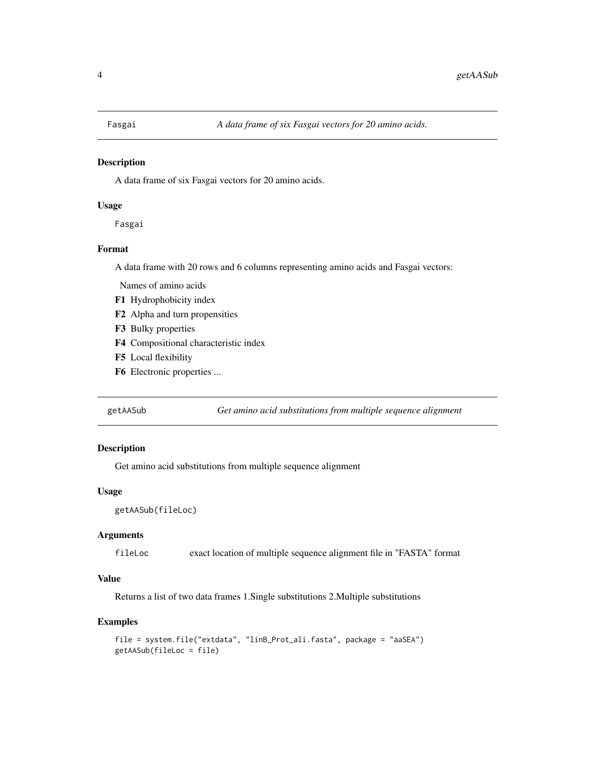<span id="page-3-0"></span>

#### Description

A data frame of six Fasgai vectors for 20 amino acids.

#### Usage

Fasgai

#### Format

A data frame with 20 rows and 6 columns representing amino acids and Fasgai vectors:

Names of amino acids

- F1 Hydrophobicity index
- F2 Alpha and turn propensities
- F3 Bulky properties
- F4 Compositional characteristic index
- F5 Local flexibility
- F6 Electronic properties ...

getAASub *Get amino acid substitutions from multiple sequence alignment*

# Description

Get amino acid substitutions from multiple sequence alignment

#### Usage

```
getAASub(fileLoc)
```
# Arguments

fileLoc exact location of multiple sequence alignment file in "FASTA" format

### Value

Returns a list of two data frames 1.Single substitutions 2.Multiple substitutions

```
file = system.file("extdata", "linB_Prot_ali.fasta", package = "aaSEA")
getAASub(fileLoc = file)
```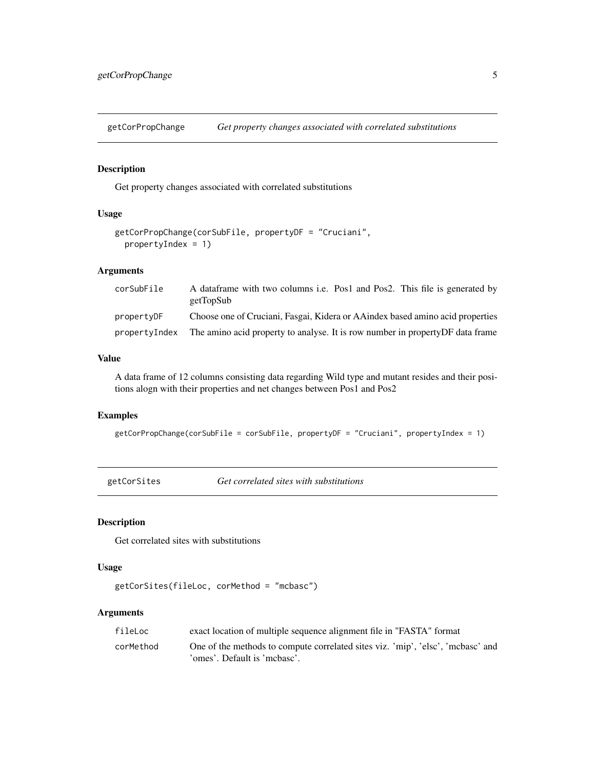<span id="page-4-0"></span>getCorPropChange *Get property changes associated with correlated substitutions*

#### Description

Get property changes associated with correlated substitutions

# Usage

```
getCorPropChange(corSubFile, propertyDF = "Cruciani",
 propertyIndex = 1)
```
# Arguments

| corSubFile    | A dataframe with two columns i.e. Pos1 and Pos2. This file is generated by<br>getTopSub |
|---------------|-----------------------------------------------------------------------------------------|
| propertyDF    | Choose one of Cruciani, Fasgai, Kidera or AAindex based amino acid properties           |
| propertyIndex | The amino acid property to analyse. It is row number in property DF data frame          |

# Value

A data frame of 12 columns consisting data regarding Wild type and mutant resides and their positions alogn with their properties and net changes between Pos1 and Pos2

#### Examples

getCorPropChange(corSubFile = corSubFile, propertyDF = "Cruciani", propertyIndex = 1)

getCorSites *Get correlated sites with substitutions*

# Description

Get correlated sites with substitutions

# Usage

```
getCorSites(fileLoc, corMethod = "mcbasc")
```
# Arguments

| fileLoc   | exact location of multiple sequence alignment file in "FASTA" format            |
|-----------|---------------------------------------------------------------------------------|
| corMethod | One of the methods to compute correlated sites viz. 'mip', 'elsc', 'mcbasc' and |
|           | 'omes'. Default is 'mcbasc'.                                                    |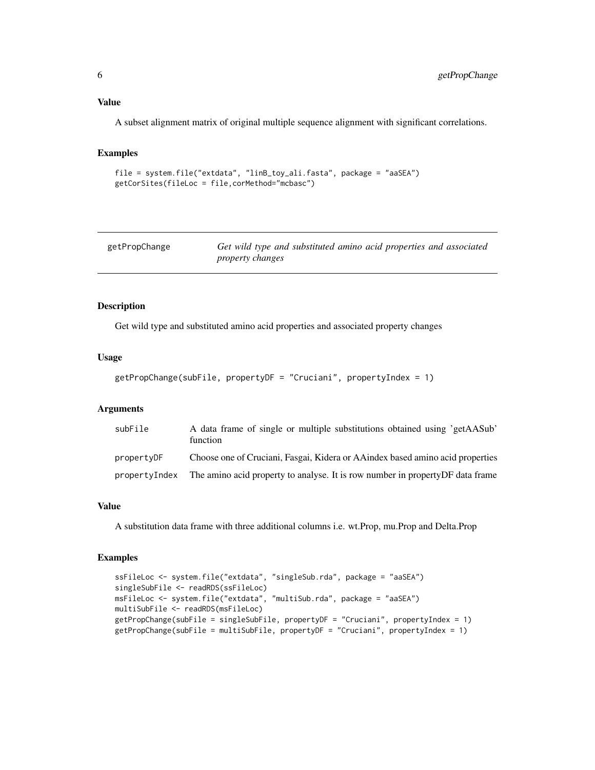<span id="page-5-0"></span>Value

A subset alignment matrix of original multiple sequence alignment with significant correlations.

#### Examples

```
file = system.file("extdata", "linB_toy_ali.fasta", package = "aaSEA")
getCorSites(fileLoc = file,corMethod="mcbasc")
```

| getPropChange | Get wild type and substituted amino acid properties and associated |
|---------------|--------------------------------------------------------------------|
|               | <i>property changes</i>                                            |

# Description

Get wild type and substituted amino acid properties and associated property changes

# Usage

```
getPropChange(subFile, propertyDF = "Cruciani", propertyIndex = 1)
```
# Arguments

| subFile       | A data frame of single or multiple substitutions obtained using 'getAASub'<br>function |
|---------------|----------------------------------------------------------------------------------------|
| propertyDF    | Choose one of Cruciani, Fasgai, Kidera or AAindex based amino acid properties          |
| propertyIndex | The amino acid property to analyse. It is row number in property DF data frame         |

#### Value

A substitution data frame with three additional columns i.e. wt.Prop, mu.Prop and Delta.Prop

```
ssFileLoc <- system.file("extdata", "singleSub.rda", package = "aaSEA")
singleSubFile <- readRDS(ssFileLoc)
msFileLoc <- system.file("extdata", "multiSub.rda", package = "aaSEA")
multiSubFile <- readRDS(msFileLoc)
getPropChange(subFile = singleSubFile, propertyDF = "Cruciani", propertyIndex = 1)
getPropChange(subFile = multiSubFile, propertyDF = "Cruciani", propertyIndex = 1)
```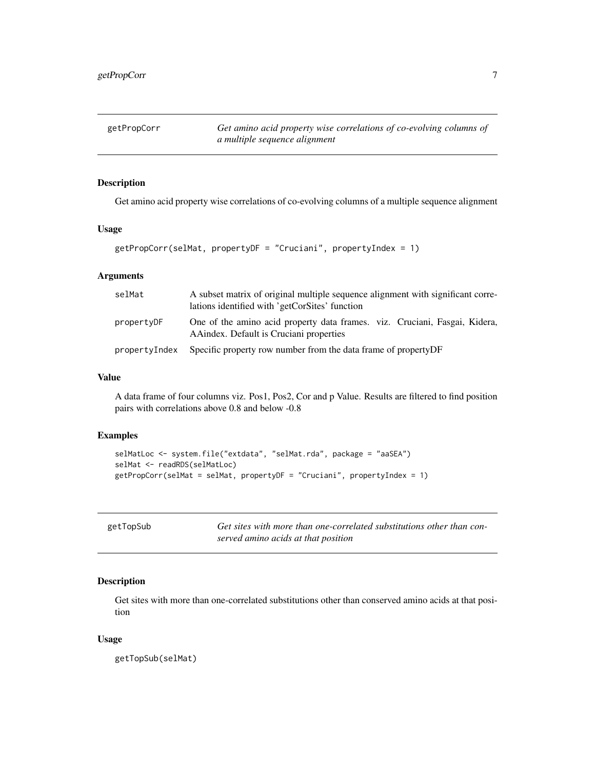<span id="page-6-0"></span>getPropCorr *Get amino acid property wise correlations of co-evolving columns of a multiple sequence alignment*

# Description

Get amino acid property wise correlations of co-evolving columns of a multiple sequence alignment

# Usage

```
getPropCorr(selMat, propertyDF = "Cruciani", propertyIndex = 1)
```
# Arguments

| selMat        | A subset matrix of original multiple sequence alignment with significant corre-<br>lations identified with 'getCorSites' function |
|---------------|-----------------------------------------------------------------------------------------------------------------------------------|
| propertyDF    | One of the amino acid property data frames. viz. Cruciani, Fasgai, Kidera,<br>A Aindex. Default is Cruciani properties            |
| propertyIndex | Specific property row number from the data frame of property DF                                                                   |

#### Value

A data frame of four columns viz. Pos1, Pos2, Cor and p Value. Results are filtered to find position pairs with correlations above 0.8 and below -0.8

#### Examples

```
selMatLoc <- system.file("extdata", "selMat.rda", package = "aaSEA")
selMat <- readRDS(selMatLoc)
getPropCorr(selMat = selMat, propertyDF = "Cruciani", propertyIndex = 1)
```

|  | getTopSub |
|--|-----------|
|--|-----------|

Get sites with more than one-correlated substitutions other than con*served amino acids at that position*

# Description

Get sites with more than one-correlated substitutions other than conserved amino acids at that position

#### Usage

getTopSub(selMat)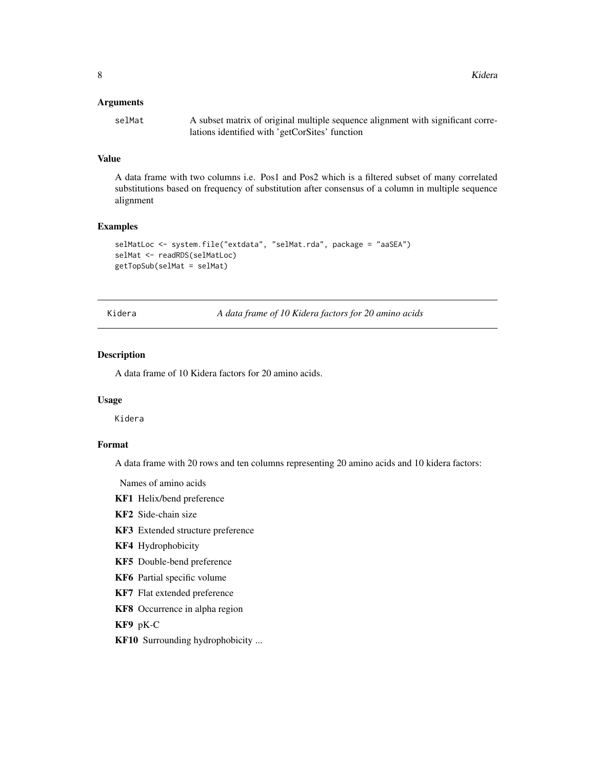<span id="page-7-0"></span>8 Second Second Second Second Second Second Second Second Second Second Second Second Second Second Second Second Second Second Second Second Second Second Second Second Second Second Second Second Second Second Second Sec

#### Arguments

selMat A subset matrix of original multiple sequence alignment with significant correlations identified with 'getCorSites' function

#### Value

A data frame with two columns i.e. Pos1 and Pos2 which is a filtered subset of many correlated substitutions based on frequency of substitution after consensus of a column in multiple sequence alignment

#### Examples

```
selMatLoc <- system.file("extdata", "selMat.rda", package = "aaSEA")
selMat <- readRDS(selMatLoc)
getTopSub(selMat = selMat)
```
Kidera *A data frame of 10 Kidera factors for 20 amino acids*

# Description

A data frame of 10 Kidera factors for 20 amino acids.

# Usage

Kidera

# Format

A data frame with 20 rows and ten columns representing 20 amino acids and 10 kidera factors:

Names of amino acids

- KF1 Helix/bend preference
- KF2 Side-chain size
- KF3 Extended structure preference
- KF4 Hydrophobicity
- KF5 Double-bend preference
- KF6 Partial specific volume
- KF7 Flat extended preference
- KF8 Occurrence in alpha region

KF9 pK-C

KF10 Surrounding hydrophobicity ...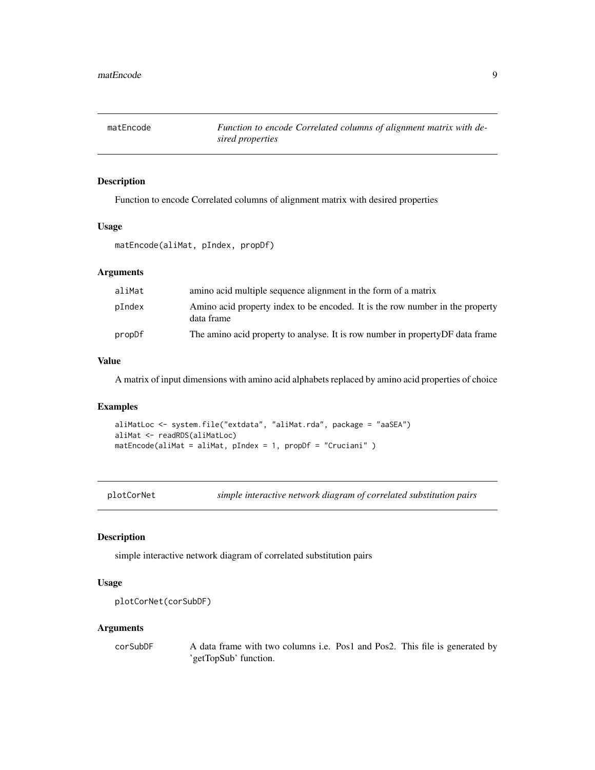<span id="page-8-0"></span>

# Description

Function to encode Correlated columns of alignment matrix with desired properties

#### Usage

matEncode(aliMat, pIndex, propDf)

# Arguments

| aliMat | amino acid multiple sequence alignment in the form of a matrix                              |
|--------|---------------------------------------------------------------------------------------------|
| pIndex | Amino acid property index to be encoded. It is the row number in the property<br>data frame |
| propDf | The amino acid property to analyse. It is row number in property DF data frame              |

#### Value

A matrix of input dimensions with amino acid alphabets replaced by amino acid properties of choice

# Examples

```
aliMatLoc <- system.file("extdata", "aliMat.rda", package = "aaSEA")
aliMat <- readRDS(aliMatLoc)
matEncode(aliMat = aliMat, pIndex = 1, propDf = "Cruciani" )
```
plotCorNet *simple interactive network diagram of correlated substitution pairs*

# Description

simple interactive network diagram of correlated substitution pairs

# Usage

```
plotCorNet(corSubDF)
```
#### Arguments

corSubDF A data frame with two columns i.e. Pos1 and Pos2. This file is generated by 'getTopSub' function.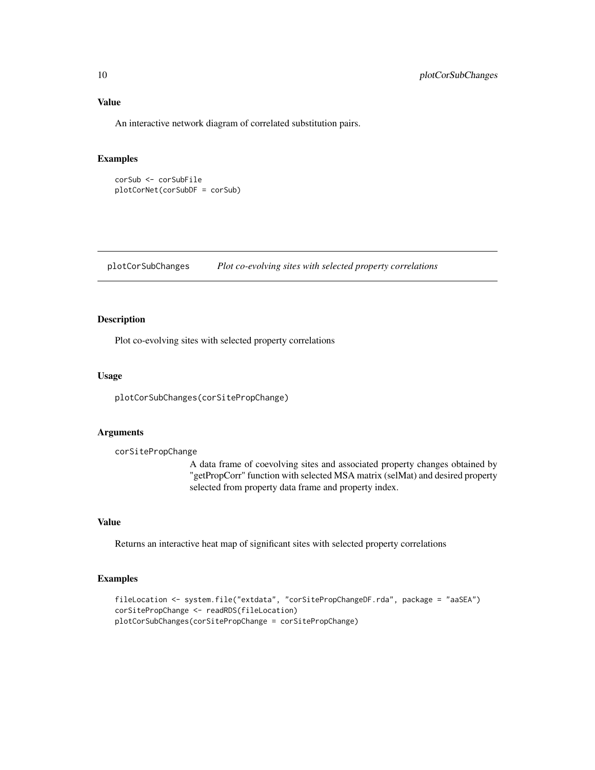<span id="page-9-0"></span>An interactive network diagram of correlated substitution pairs.

#### Examples

```
corSub <- corSubFile
plotCorNet(corSubDF = corSub)
```
plotCorSubChanges *Plot co-evolving sites with selected property correlations*

# Description

Plot co-evolving sites with selected property correlations

#### Usage

plotCorSubChanges(corSitePropChange)

#### Arguments

corSitePropChange

A data frame of coevolving sites and associated property changes obtained by "getPropCorr" function with selected MSA matrix (selMat) and desired property selected from property data frame and property index.

# Value

Returns an interactive heat map of significant sites with selected property correlations

```
fileLocation <- system.file("extdata", "corSitePropChangeDF.rda", package = "aaSEA")
corSitePropChange <- readRDS(fileLocation)
plotCorSubChanges(corSitePropChange = corSitePropChange)
```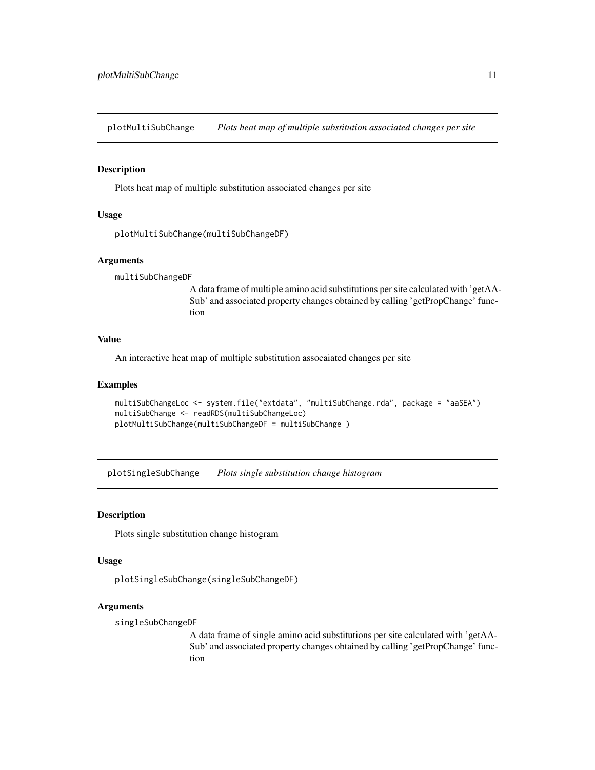<span id="page-10-0"></span>plotMultiSubChange *Plots heat map of multiple substitution associated changes per site*

#### Description

Plots heat map of multiple substitution associated changes per site

#### Usage

```
plotMultiSubChange(multiSubChangeDF)
```
#### Arguments

multiSubChangeDF

A data frame of multiple amino acid substitutions per site calculated with 'getAA-Sub' and associated property changes obtained by calling 'getPropChange' function

# Value

An interactive heat map of multiple substitution assocaiated changes per site

#### Examples

```
multiSubChangeLoc <- system.file("extdata", "multiSubChange.rda", package = "aaSEA")
multiSubChange <- readRDS(multiSubChangeLoc)
plotMultiSubChange(multiSubChangeDF = multiSubChange )
```
plotSingleSubChange *Plots single substitution change histogram*

#### Description

Plots single substitution change histogram

# Usage

plotSingleSubChange(singleSubChangeDF)

#### Arguments

singleSubChangeDF

A data frame of single amino acid substitutions per site calculated with 'getAA-Sub' and associated property changes obtained by calling 'getPropChange' function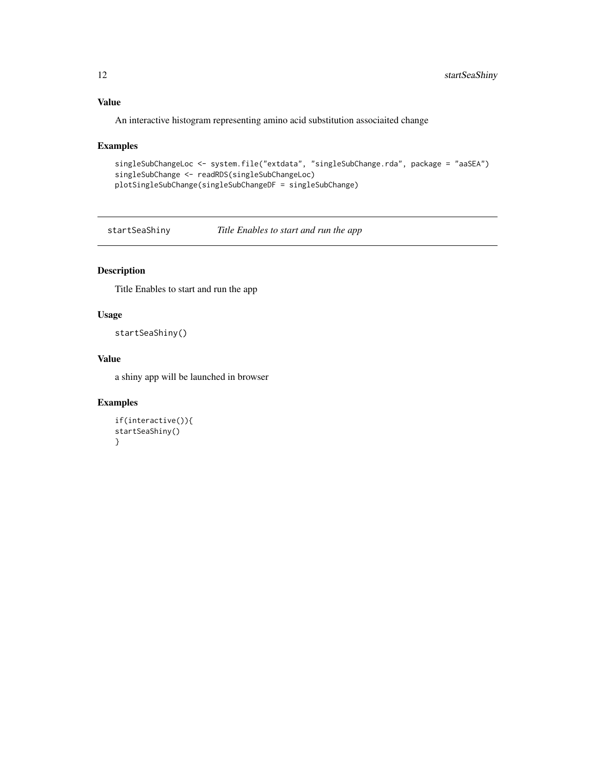# Value

An interactive histogram representing amino acid substitution associaited change

# Examples

```
singleSubChangeLoc <- system.file("extdata", "singleSubChange.rda", package = "aaSEA")
singleSubChange <- readRDS(singleSubChangeLoc)
plotSingleSubChange(singleSubChangeDF = singleSubChange)
```
startSeaShiny *Title Enables to start and run the app*

# Description

Title Enables to start and run the app

# Usage

```
startSeaShiny()
```
# Value

a shiny app will be launched in browser

```
if(interactive()){
startSeaShiny()
}
```
<span id="page-11-0"></span>